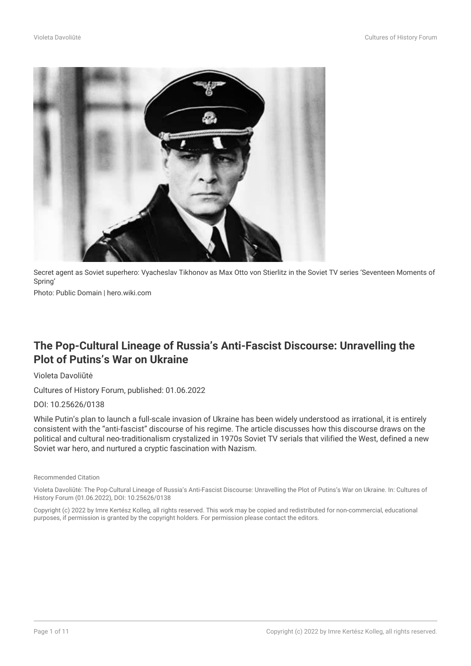

Secret agent as Soviet superhero: Vyacheslav Tikhonov as Max Otto von Stierlitz in the Soviet TV series 'Seventeen Moments of Spring'

Photo: Public Domain | hero.wiki.com

# **The Pop-Cultural Lineage of Russia's Anti-Fascist Discourse: Unravelling the Plot of Putins's War on Ukraine**

#### Violeta Davoliūtė

Cultures of History Forum, published: 01.06.2022

#### DOI: 10.25626/0138

While Putin's plan to launch a full-scale invasion of Ukraine has been widely understood as irrational, it is entirely consistent with the "anti-fascist" discourse of his regime. The article discusses how this discourse draws on the political and cultural neo-traditionalism crystalized in 1970s Soviet TV serials that vilified the West, defined a new Soviet war hero, and nurtured a cryptic fascination with Nazism.

#### Recommended Citation

Violeta Davoliūtė: The Pop-Cultural Lineage of Russia's Anti-Fascist Discourse: Unravelling the Plot of Putins's War on Ukraine. In: Cultures of History Forum (01.06.2022), DOI: 10.25626/0138

Copyright (c) 2022 by Imre Kertész Kolleg, all rights reserved. This work may be copied and redistributed for non-commercial, educational purposes, if permission is granted by the copyright holders. For permission please contact the editors.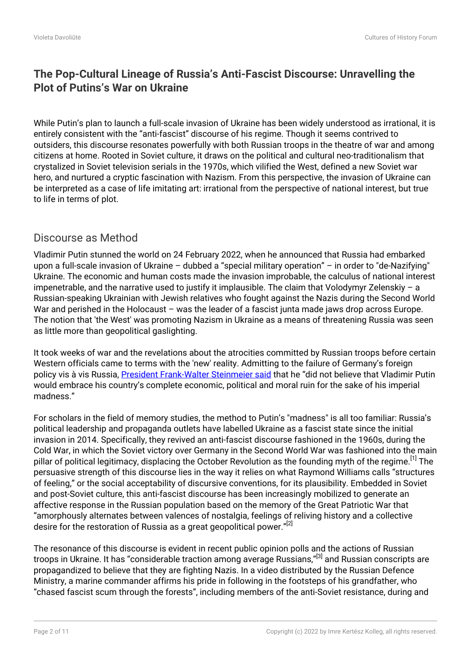# **The Pop-Cultural Lineage of Russia's Anti-Fascist Discourse: Unravelling the Plot of Putins's War on Ukraine**

While Putin's plan to launch a full-scale invasion of Ukraine has been widely understood as irrational, it is entirely consistent with the "anti-fascist" discourse of his regime. Though it seems contrived to outsiders, this discourse resonates powerfully with both Russian troops in the theatre of war and among citizens at home. Rooted in Soviet culture, it draws on the political and cultural neo-traditionalism that crystalized in Soviet television serials in the 1970s, which vilified the West, defined a new Soviet war hero, and nurtured a cryptic fascination with Nazism. From this perspective, the invasion of Ukraine can be interpreted as a case of life imitating art: irrational from the perspective of national interest, but true to life in terms of plot.

## Discourse as Method

Vladimir Putin stunned the world on 24 February 2022, when he announced that Russia had embarked upon a full-scale invasion of Ukraine – dubbed a "special military operation" – in order to "de-Nazifying" Ukraine. The economic and human costs made the invasion improbable, the calculus of national interest impenetrable, and the narrative used to justify it implausible. The claim that Volodymyr Zelenskiy – a Russian-speaking Ukrainian with Jewish relatives who fought against the Nazis during the Second World War and perished in the Holocaust – was the leader of a fascist junta made jaws drop across Europe. The notion that 'the West' was promoting Nazism in Ukraine as a means of threatening Russia was seen as little more than geopolitical gaslighting.

It took weeks of war and the revelations about the atrocities committed by Russian troops before certain Western officials came to terms with the 'new' reality. Admitting to the failure of Germany's foreign policy vis à vis Russia, [President Frank-Walter Steinmeier said](https://www.dw.com/en/german-president-steinmeier-admits-mistakes-over-russia-policy/a-61362153) that he "did not believe that Vladimir Putin would embrace his country's complete economic, political and moral ruin for the sake of his imperial madness."

For scholars in the field of memory studies, the method to Putin's "madness" is all too familiar: Russia's political leadership and propaganda outlets have labelled Ukraine as a fascist state since the initial invasion in 2014. Specifically, they revived an anti-fascist discourse fashioned in the 1960s, during the Cold War, in which the Soviet victory over Germany in the Second World War was fashioned into the main pillar of political legitimacy, displacing the October Revolution as the founding myth of the regime.<sup>[1]</sup> The persuasive strength of this discourse lies in the way it relies on what Raymond Williams calls "structures of feeling," or the social acceptability of discursive conventions, for its plausibility. Embedded in Soviet and post-Soviet culture, this anti-fascist discourse has been increasingly mobilized to generate an affective response in the Russian population based on the memory of the Great Patriotic War that "amorphously alternates between valences of nostalgia, feelings of reliving history and a collective desire for the restoration of Russia as a great geopolitical power."<sup>[2]</sup>

The resonance of this discourse is evident in recent public opinion polls and the actions of Russian troops in Ukraine. It has "considerable traction among average Russians,"<sup>[3]</sup> and Russian conscripts are propagandized to believe that they are fighting Nazis. In a video distributed by the Russian Defence Ministry, a marine commander affirms his pride in following in the footsteps of his grandfather, who "chased fascist scum through the forests", including members of the anti-Soviet resistance, during and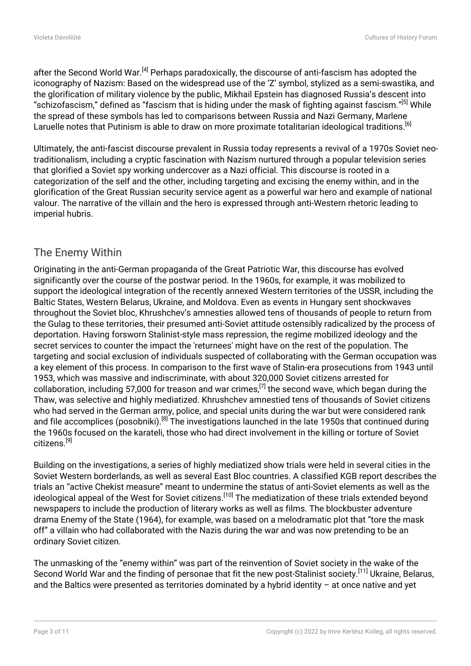after the Second World War.<sup>[4]</sup> Perhaps paradoxically, the discourse of anti-fascism has adopted the iconography of Nazism: Based on the widespread use of the 'Z' symbol, stylized as a semi-swastika, and the glorification of military violence by the public, Mikhail Epstein has diagnosed Russia's descent into "schizofascism," defined as "fascism that is hiding under the mask of fighting against fascism."<sup>[5]</sup> While the spread of these symbols has led to comparisons between Russia and Nazi Germany, Marlene Laruelle notes that Putinism is able to draw on more proximate totalitarian ideological traditions.<sup>[6]</sup>

Ultimately, the anti-fascist discourse prevalent in Russia today represents a revival of a 1970s Soviet neotraditionalism, including a cryptic fascination with Nazism nurtured through a popular television series that glorified a Soviet spy working undercover as a Nazi official. This discourse is rooted in a categorization of the self and the other, including targeting and excising the enemy within, and in the glorification of the Great Russian security service agent as a powerful war hero and example of national valour. The narrative of the villain and the hero is expressed through anti-Western rhetoric leading to imperial hubris.

## The Enemy Within

Originating in the anti-German propaganda of the Great Patriotic War, this discourse has evolved significantly over the course of the postwar period. In the 1960s, for example, it was mobilized to support the ideological integration of the recently annexed Western territories of the USSR, including the Baltic States, Western Belarus, Ukraine, and Moldova. Even as events in Hungary sent shockwaves throughout the Soviet bloc, Khrushchev's amnesties allowed tens of thousands of people to return from the Gulag to these territories, their presumed anti-Soviet attitude ostensibly radicalized by the process of deportation. Having forsworn Stalinist-style mass repression, the regime mobilized ideology and the secret services to counter the impact the 'returnees' might have on the rest of the population. The targeting and social exclusion of individuals suspected of collaborating with the German occupation was a key element of this process. In comparison to the first wave of Stalin-era prosecutions from 1943 until 1953, which was massive and indiscriminate, with about 320,000 Soviet citizens arrested for collaboration, including 57,000 for treason and war crimes.<sup>[7]</sup> the second wave, which began during the Thaw, was selective and highly mediatized. Khrushchev amnestied tens of thousands of Soviet citizens who had served in the German army, police, and special units during the war but were considered rank and file accomplices (posobniki).<sup>[8]</sup> The investigations launched in the late 1950s that continued during the 1960s focused on the karateli, those who had direct involvement in the killing or torture of Soviet citizens.<sup>[9]</sup>

Building on the investigations, a series of highly mediatized show trials were held in several cities in the Soviet Western borderlands, as well as several East Bloc countries. A classified KGB report describes the trials an "active Chekist measure" meant to undermine the status of anti-Soviet elements as well as the ideological appeal of the West for Soviet citizens.<sup>[10]</sup> The mediatization of these trials extended beyond newspapers to include the production of literary works as well as films. The blockbuster adventure drama Enemy of the State (1964), for example, was based on a melodramatic plot that "tore the mask off" a villain who had collaborated with the Nazis during the war and was now pretending to be an ordinary Soviet citizen.

The unmasking of the "enemy within" was part of the reinvention of Soviet society in the wake of the Second World War and the finding of personae that fit the new post-Stalinist society.<sup>[11]</sup> Ukraine, Belarus, and the Baltics were presented as territories dominated by a hybrid identity – at once native and yet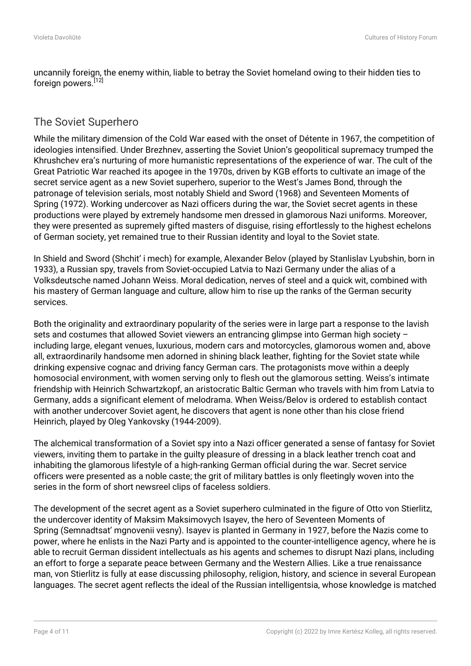uncannily foreign, the enemy within, liable to betray the Soviet homeland owing to their hidden ties to foreign powers.<sup>[12]</sup>

## The Soviet Superhero

While the military dimension of the Cold War eased with the onset of Détente in 1967, the competition of ideologies intensified. Under Brezhnev, asserting the Soviet Union's geopolitical supremacy trumped the Khrushchev era's nurturing of more humanistic representations of the experience of war. The cult of the Great Patriotic War reached its apogee in the 1970s, driven by KGB efforts to cultivate an image of the secret service agent as a new Soviet superhero, superior to the West's James Bond, through the patronage of television serials, most notably Shield and Sword (1968) and Seventeen Moments of Spring (1972). Working undercover as Nazi officers during the war, the Soviet secret agents in these productions were played by extremely handsome men dressed in glamorous Nazi uniforms. Moreover, they were presented as supremely gifted masters of disguise, rising effortlessly to the highest echelons of German society, yet remained true to their Russian identity and loyal to the Soviet state.

In Shield and Sword (Shchit' i mech) for example, Alexander Belov (played by Stanlislav Lyubshin, born in 1933), a Russian spy, travels from Soviet-occupied Latvia to Nazi Germany under the alias of a Volksdeutsche named Johann Weiss. Moral dedication, nerves of steel and a quick wit, combined with his mastery of German language and culture, allow him to rise up the ranks of the German security services.

Both the originality and extraordinary popularity of the series were in large part a response to the lavish sets and costumes that allowed Soviet viewers an entrancing glimpse into German high society including large, elegant venues, luxurious, modern cars and motorcycles, glamorous women and, above all, extraordinarily handsome men adorned in shining black leather, fighting for the Soviet state while drinking expensive cognac and driving fancy German cars. The protagonists move within a deeply homosocial environment, with women serving only to flesh out the glamorous setting. Weiss's intimate friendship with Heinrich Schwartzkopf, an aristocratic Baltic German who travels with him from Latvia to Germany, adds a significant element of melodrama. When Weiss/Belov is ordered to establish contact with another undercover Soviet agent, he discovers that agent is none other than his close friend Heinrich, played by Oleg Yankovsky (1944-2009).

The alchemical transformation of a Soviet spy into a Nazi officer generated a sense of fantasy for Soviet viewers, inviting them to partake in the guilty pleasure of dressing in a black leather trench coat and inhabiting the glamorous lifestyle of a high-ranking German official during the war. Secret service officers were presented as a noble caste; the grit of military battles is only fleetingly woven into the series in the form of short newsreel clips of faceless soldiers.

The development of the secret agent as a Soviet superhero culminated in the figure of Otto von Stierlitz, the undercover identity of Maksim Maksimovych Isayev, the hero of Seventeen Moments of Spring (Semnadtsat' mgnovenii vesny). Isayev is planted in Germany in 1927, before the Nazis come to power, where he enlists in the Nazi Party and is appointed to the counter-intelligence agency, where he is able to recruit German dissident intellectuals as his agents and schemes to disrupt Nazi plans, including an effort to forge a separate peace between Germany and the Western Allies. Like a true renaissance man, von Stierlitz is fully at ease discussing philosophy, religion, history, and science in several European languages. The secret agent reflects the ideal of the Russian intelligentsia, whose knowledge is matched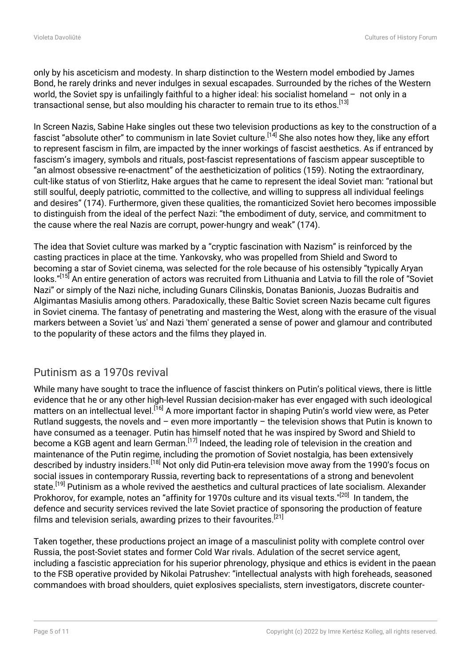only by his asceticism and modesty. In sharp distinction to the Western model embodied by James Bond, he rarely drinks and never indulges in sexual escapades. Surrounded by the riches of the Western world, the Soviet spy is unfailingly faithful to a higher ideal: his socialist homeland – not only in a transactional sense, but also moulding his character to remain true to its ethos.<sup>[13]</sup>

In Screen Nazis, Sabine Hake singles out these two television productions as key to the construction of a fascist "absolute other" to communism in late Soviet culture.<sup>[14]</sup> She also notes how they, like any effort to represent fascism in film, are impacted by the inner workings of fascist aesthetics. As if entranced by fascism's imagery, symbols and rituals, post-fascist representations of fascism appear susceptible to "an almost obsessive re-enactment" of the aestheticization of politics (159). Noting the extraordinary, cult-like status of von Stierlitz, Hake argues that he came to represent the ideal Soviet man: "rational but still soulful, deeply patriotic, committed to the collective, and willing to suppress all individual feelings and desires" (174). Furthermore, given these qualities, the romanticized Soviet hero becomes impossible to distinguish from the ideal of the perfect Nazi: "the embodiment of duty, service, and commitment to the cause where the real Nazis are corrupt, power-hungry and weak" (174).

The idea that Soviet culture was marked by a "cryptic fascination with Nazism" is reinforced by the casting practices in place at the time. Yankovsky, who was propelled from Shield and Sword to becoming a star of Soviet cinema, was selected for the role because of his ostensibly "typically Aryan looks."[15] An entire generation of actors was recruited from Lithuania and Latvia to fill the role of "Soviet Nazi" or simply of the Nazi niche, including Gunars Cilinskis, Donatas Banionis, Juozas Budraitis and Algimantas Masiulis among others. Paradoxically, these Baltic Soviet screen Nazis became cult figures in Soviet cinema. The fantasy of penetrating and mastering the West, along with the erasure of the visual markers between a Soviet 'us' and Nazi 'them' generated a sense of power and glamour and contributed to the popularity of these actors and the films they played in.

## Putinism as a 1970s revival

While many have sought to trace the influence of fascist thinkers on Putin's political views, there is little evidence that he or any other high-level Russian decision-maker has ever engaged with such ideological matters on an intellectual level.<sup>[16]</sup> A more important factor in shaping Putin's world view were, as Peter Rutland suggests, the novels and – even more importantly – the television shows that Putin is known to have consumed as a teenager. Putin has himself noted that he was inspired by Sword and Shield to become a KGB agent and learn German.<sup>[17]</sup> Indeed, the leading role of television in the creation and maintenance of the Putin regime, including the promotion of Soviet nostalgia, has been extensively described by industry insiders.[18] Not only did Putin-era television move away from the 1990's focus on social issues in contemporary Russia, reverting back to representations of a strong and benevolent state.<sup>[19]</sup> Putinism as a whole revived the aesthetics and cultural practices of late socialism. Alexander Prokhorov, for example, notes an "affinity for 1970s culture and its visual texts."<sup>[20]</sup> In tandem, the defence and security services revived the late Soviet practice of sponsoring the production of feature films and television serials, awarding prizes to their favourites.<sup>[21]</sup>

Taken together, these productions project an image of a masculinist polity with complete control over Russia, the post-Soviet states and former Cold War rivals. Adulation of the secret service agent, including a fascistic appreciation for his superior phrenology, physique and ethics is evident in the paean to the FSB operative provided by Nikolai Patrushev: "intellectual analysts with high foreheads, seasoned commandoes with broad shoulders, quiet explosives specialists, stern investigators, discrete counter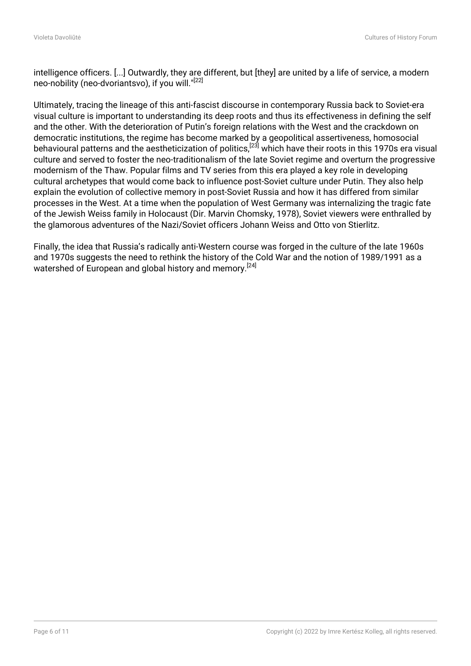intelligence officers. [...] Outwardly, they are different, but [they] are united by a life of service, a modern neo-nobility (neo-dvoriantsvo), if you will."[22]

Ultimately, tracing the lineage of this anti-fascist discourse in contemporary Russia back to Soviet-era visual culture is important to understanding its deep roots and thus its effectiveness in defining the self and the other. With the deterioration of Putin's foreign relations with the West and the crackdown on democratic institutions, the regime has become marked by a geopolitical assertiveness, homosocial behavioural patterns and the aestheticization of politics,<sup>[23]</sup> which have their roots in this 1970s era visual culture and served to foster the neo-traditionalism of the late Soviet regime and overturn the progressive modernism of the Thaw. Popular films and TV series from this era played a key role in developing cultural archetypes that would come back to influence post-Soviet culture under Putin. They also help explain the evolution of collective memory in post-Soviet Russia and how it has differed from similar processes in the West. At a time when the population of West Germany was internalizing the tragic fate of the Jewish Weiss family in Holocaust (Dir. Marvin Chomsky, 1978), Soviet viewers were enthralled by the glamorous adventures of the Nazi/Soviet officers Johann Weiss and Otto von Stierlitz.

Finally, the idea that Russia's radically anti-Western course was forged in the culture of the late 1960s and 1970s suggests the need to rethink the history of the Cold War and the notion of 1989/1991 as a watershed of European and global history and memory.<sup>[24]</sup>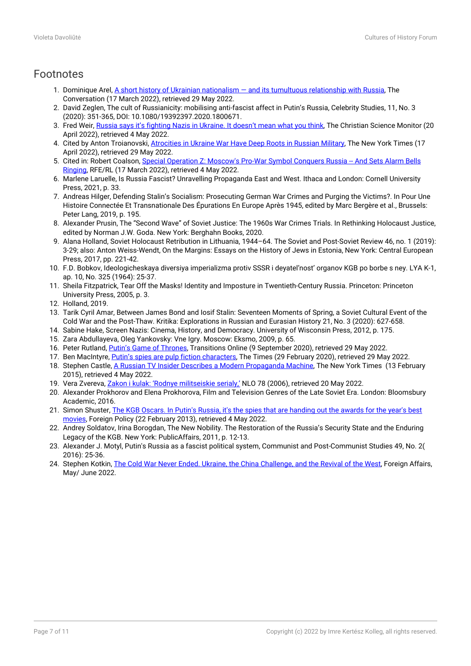## Footnotes

- 1. Dominique Arel, A short history of Ukrainian nationalism and its tumultuous relationship with Russia, The Conversation (17 March 2022), retrieved 29 May 2022.
- 2. David Zeglen, The cult of Russianicity: mobilising anti-fascist affect in Putin's Russia, Celebrity Studies, 11, No. 3 (2020): 351-365, DOI: 10.1080/19392397.2020.1800671.
- 3. Fred Weir, [Russia says it's fighting Nazis in Ukraine. It doesn't mean what you think,](https://www.csmonitor.com/World/Europe/2022/0420/Russia-says-it-s-fighting-Nazis-in-Ukraine.-It-doesn-t-mean-what-you-think) The Christian Science Monitor (20 April 2022), retrieved 4 May 2022.
- 4. Cited by Anton Troianovski, [Atrocities in Ukraine War Have Deep Roots in Russian Military,](https://www.nytimes.com/2022/04/17/world/europe/ukraine-war-russia-atrocities.html) The New York Times (17 April 2022), retrieved 29 May 2022.
- 5. Cited in: Robert Coalson, [Special Operation Z: Moscow's Pro-War Symbol Conquers Russia -- And Sets Alarm Bells](https://www.rferl.org/a/russia-ukraine-letter-z-fascist-symbol/31758267.html) [Ringing,](https://www.rferl.org/a/russia-ukraine-letter-z-fascist-symbol/31758267.html) RFE/RL (17 March 2022), retrieved 4 May 2022.
- 6. Marlene Laruelle, Is Russia Fascist? Unravelling Propaganda East and West. Ithaca and London: Cornell University Press, 2021, p. 33.
- 7. Andreas Hilger, Defending Stalin's Socialism: Prosecuting German War Crimes and Purging the Victims?. In Pour Une Histoire Connectée Et Transnationale Des Épurations En Europe Après 1945, edited by Marc Bergère et al., Brussels: Peter Lang, 2019, p. 195.
- 8. Alexander Prusin, The "Second Wave" of Soviet Justice: The 1960s War Crimes Trials. In Rethinking Holocaust Justice, edited by Norman J.W. Goda. New York: Berghahn Books, 2020.
- 9. Alana Holland, Soviet Holocaust Retribution in Lithuania, 1944–64. The Soviet and Post-Soviet Review 46, no. 1 (2019): 3-29; also: Anton Weiss-Wendt, On the Margins: Essays on the History of Jews in Estonia, New York: Central European Press, 2017, pp. 221-42.
- 10. F.D. Bobkov, Ideologicheskaya diversiya imperializma protiv SSSR i deyatel'nost' organov KGB po borbe s ney. LYA K-1, ap. 10, No. 325 (1964): 25-37.
- 11. Sheila Fitzpatrick, Tear Off the Masks! Identity and Imposture in Twentieth-Century Russia. Princeton: Princeton University Press, 2005, p. 3.
- 12. Holland, 2019.
- 13. Tarik Cyril Amar, Between James Bond and Iosif Stalin: Seventeen Moments of Spring, a Soviet Cultural Event of the Cold War and the Post-Thaw. Kritika: Explorations in Russian and Eurasian History 21, No. 3 (2020): 627-658.
- 14. Sabine Hake, Screen Nazis: Cinema, History, and Democracy. University of Wisconsin Press, 2012, p. 175.
- 15. Zara Abdullayeva, Oleg Yankovsky: Vne Igry. Moscow: Eksmo, 2009, p. 65.
- 16. Peter Rutland, [Putin's Game of Thrones](https://tol.org/client/article/putins-game-of-thrones.html), Transitions Online (9 September 2020), retrieved 29 May 2022.
- 17. Ben MacIntyre, [Putin's spies are pulp fiction characters,](https://www.thetimes.co.uk/article/putins-spies-are-pulp-fiction-characters-7ndlk7pjl) The Times (29 February 2020), retrieved 29 May 2022.
- 18. Stephen Castle, [A Russian TV Insider Describes a Modern Propaganda Machine](https://www.nytimes.com/2015/02/14/world/europe/russian-tv-insider-says-putin-is-running-the-show-in-ukraine.html), The New York Times (13 February 2015), retrieved 4 May 2022.
- 19. Vera Zvereva, [Zakon i kulak: 'Rodnye militseiskie serialy,'](http://magazines.russ.ru:81/nlo/2006/78/zver20.html.) NLO 78 (2006), retrieved 20 May 2022.
- 20. Alexander Prokhorov and Elena Prokhorova, Film and Television Genres of the Late Soviet Era. London: Bloomsbury Academic, 2016.
- 21. Simon Shuster, [The KGB Oscars. In Putin's Russia, it's the spies that are handing out the awards for the year's best](https://foreignpolicy.com/2013/02/22/the-kgb-oscars/) [movies,](https://foreignpolicy.com/2013/02/22/the-kgb-oscars/) Foreign Policy (22 February 2013), retrieved 4 May 2022.
- 22. Andrey Soldatov, Irina Borogdan, The New Nobility. The Restoration of the Russia's Security State and the Enduring Legacy of the KGB. New York: PublicAffairs, 2011, p. 12-13.
- 23. Alexander J. Motyl, Putin's Russia as a fascist political system, Communist and Post-Communist Studies 49, No. 2( 2016): 25-36.
- 24. Stephen Kotkin, [The Cold War Never Ended. Ukraine, the China Challenge, and the Revival of the West](https://www.foreignaffairs.com/reviews/review-essay/2022-04-06/cold-war-never-ended-russia-ukraine-war), Foreign Affairs, May/ June 2022.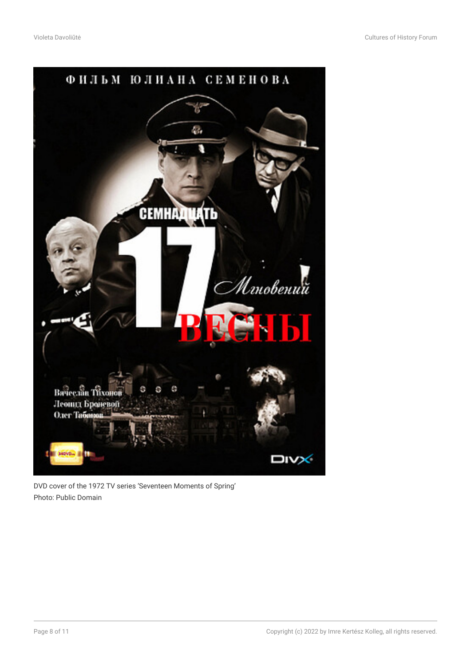

DVD cover of the 1972 TV series 'Seventeen Moments of Spring' Photo: Public Domain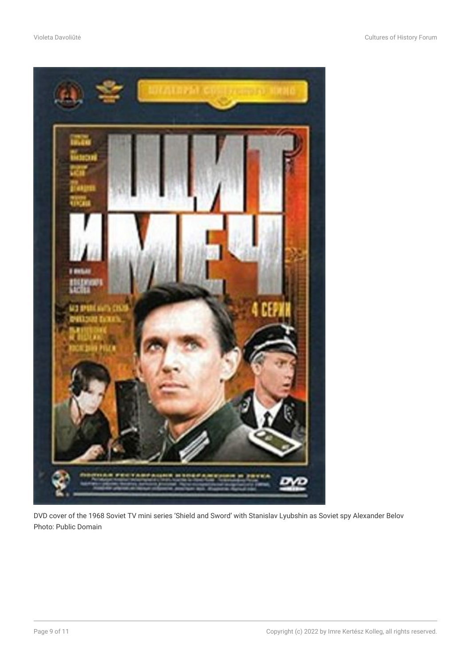

DVD cover of the 1968 Soviet TV mini series 'Shield and Sword' with Stanislav Lyubshin as Soviet spy Alexander Belov Photo: Public Domain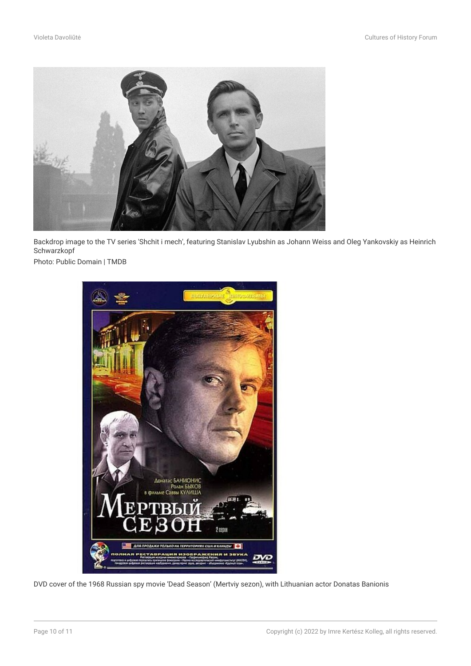

Backdrop image to the TV series 'Shchit i mech', featuring Stanislav Lyubshin as Johann Weiss and Oleg Yankovskiy as Heinrich **Schwarzkopf** 

Photo: Public Domain | TMDB



DVD cover of the 1968 Russian spy movie 'Dead Season' (Mertviy sezon), with Lithuanian actor Donatas Banionis